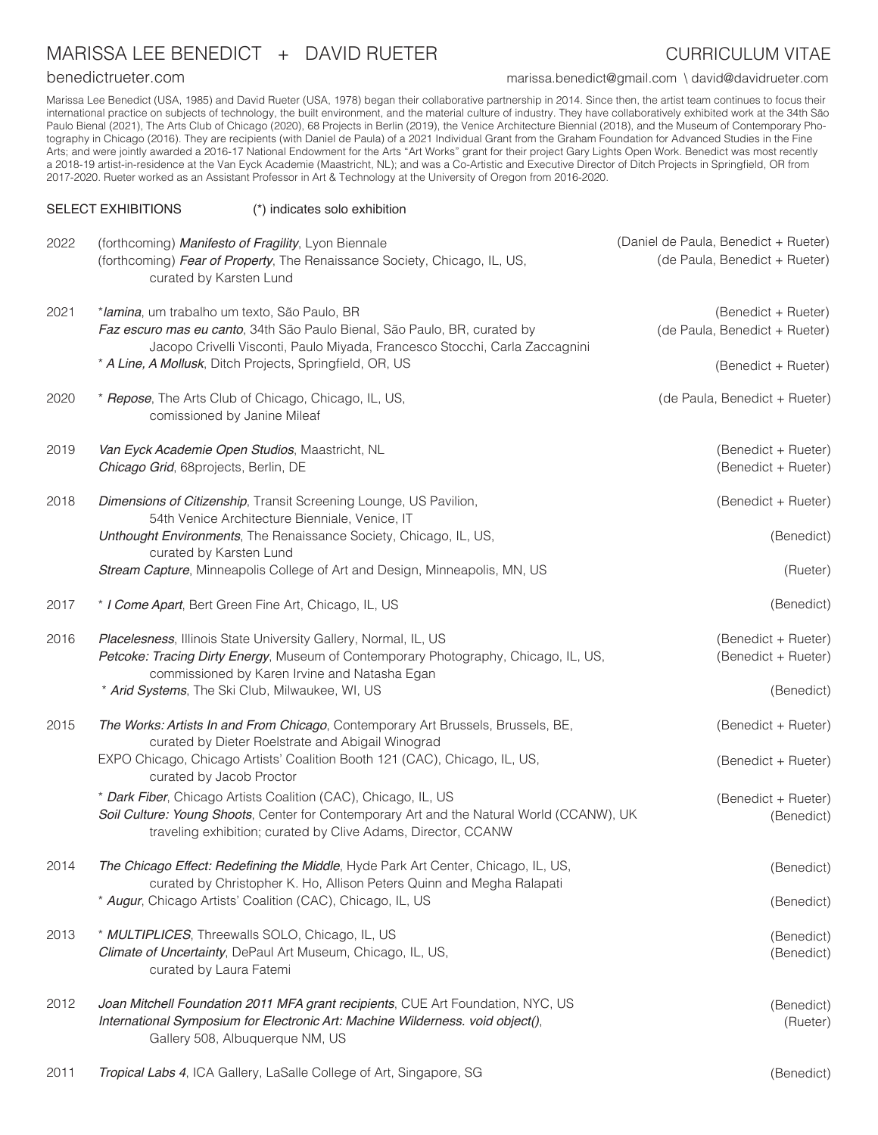## MARISSA LEE BENEDICT + DAVID RUETER CURRICULUM VITAE

benedictrueter.com marissa.benedict@gmail.com \ david@davidrueter.com

Marissa Lee Benedict (USA, 1985) and David Rueter (USA, 1978) began their collaborative partnership in 2014. Since then, the artist team continues to focus their international practice on subjects of technology, the built environment, and the material culture of industry. They have collaboratively exhibited work at the 34th São Paulo Bienal (2021), The Arts Club of Chicago (2020), 68 Projects in Berlin (2019), the Venice Architecture Biennial (2018), and the Museum of Contemporary Photography in Chicago (2016). They are recipients (with Daniel de Paula) of a 2021 Individual Grant from the Graham Foundation for Advanced Studies in the Fine Arts; and were jointly awarded a 2016-17 National Endowment for the Arts "Art Works" grant for their project Gary Lights Open Work. Benedict was most recently a 2018-19 artist-in-residence at the Van Eyck Academie (Maastricht, NL); and was a Co-Artistic and Executive Director of Ditch Projects in Springfield, OR from 2017-2020. Rueter worked as an Assistant Professor in Art & Technology at the University of Oregon from 2016-2020.

#### SELECT EXHIBITIONS (\*) indicates solo exhibition

| 2022 | (forthcoming) Manifesto of Fragility, Lyon Biennale                                                                                                                                                  | (Daniel de Paula, Benedict + Rueter) |
|------|------------------------------------------------------------------------------------------------------------------------------------------------------------------------------------------------------|--------------------------------------|
|      | (forthcoming) Fear of Property, The Renaissance Society, Chicago, IL, US,<br>curated by Karsten Lund                                                                                                 | (de Paula, Benedict + Rueter)        |
| 2021 | *lamina, um trabalho um texto, São Paulo, BR                                                                                                                                                         | (Benedict + Rueter)                  |
|      | Faz escuro mas eu canto, 34th São Paulo Bienal, São Paulo, BR, curated by<br>Jacopo Crivelli Visconti, Paulo Miyada, Francesco Stocchi, Carla Zaccagnini                                             | (de Paula, Benedict + Rueter)        |
|      | * A Line, A Mollusk, Ditch Projects, Springfield, OR, US                                                                                                                                             | (Benedict + Rueter)                  |
| 2020 | * Repose, The Arts Club of Chicago, Chicago, IL, US,<br>comissioned by Janine Mileaf                                                                                                                 | (de Paula, Benedict + Rueter)        |
| 2019 | Van Eyck Academie Open Studios, Maastricht, NL                                                                                                                                                       | (Benedict + Rueter)                  |
|      | Chicago Grid, 68projects, Berlin, DE                                                                                                                                                                 | (Benedict + Rueter)                  |
| 2018 | Dimensions of Citizenship, Transit Screening Lounge, US Pavilion,<br>54th Venice Architecture Bienniale, Venice, IT                                                                                  | (Benedict + Rueter)                  |
|      | Unthought Environments, The Renaissance Society, Chicago, IL, US,<br>curated by Karsten Lund                                                                                                         | (Benedict)                           |
|      | Stream Capture, Minneapolis College of Art and Design, Minneapolis, MN, US                                                                                                                           | (Rueter)                             |
| 2017 | * I Come Apart, Bert Green Fine Art, Chicago, IL, US                                                                                                                                                 | (Benedict)                           |
| 2016 | Placelesness, Illinois State University Gallery, Normal, IL, US                                                                                                                                      | (Benedict + Rueter)                  |
|      | Petcoke: Tracing Dirty Energy, Museum of Contemporary Photography, Chicago, IL, US,<br>commissioned by Karen Irvine and Natasha Egan                                                                 | (Benedict + Rueter)                  |
|      | * Arid Systems, The Ski Club, Milwaukee, WI, US                                                                                                                                                      | (Benedict)                           |
| 2015 | The Works: Artists In and From Chicago, Contemporary Art Brussels, Brussels, BE,<br>curated by Dieter Roelstrate and Abigail Winograd                                                                | (Benedict + Rueter)                  |
|      | EXPO Chicago, Chicago Artists' Coalition Booth 121 (CAC), Chicago, IL, US,<br>curated by Jacob Proctor                                                                                               | (Benedict + Rueter)                  |
|      | * Dark Fiber, Chicago Artists Coalition (CAC), Chicago, IL, US                                                                                                                                       | (Benedict + Rueter)                  |
|      | Soil Culture: Young Shoots, Center for Contemporary Art and the Natural World (CCANW), UK<br>traveling exhibition; curated by Clive Adams, Director, CCANW                                           | (Benedict)                           |
| 2014 | The Chicago Effect: Redefining the Middle, Hyde Park Art Center, Chicago, IL, US,<br>curated by Christopher K. Ho, Allison Peters Quinn and Megha Ralapati                                           | (Benedict)                           |
|      | * Augur, Chicago Artists' Coalition (CAC), Chicago, IL, US                                                                                                                                           | (Benedict)                           |
| 2013 | * MULTIPLICES, Threewalls SOLO, Chicago, IL, US                                                                                                                                                      | (Benedict)                           |
|      | Climate of Uncertainty, DePaul Art Museum, Chicago, IL, US,<br>curated by Laura Fatemi                                                                                                               | (Benedict)                           |
| 2012 | Joan Mitchell Foundation 2011 MFA grant recipients, CUE Art Foundation, NYC, US<br>International Symposium for Electronic Art: Machine Wilderness. void object(),<br>Gallery 508, Albuquerque NM, US | (Benedict)<br>(Rueter)               |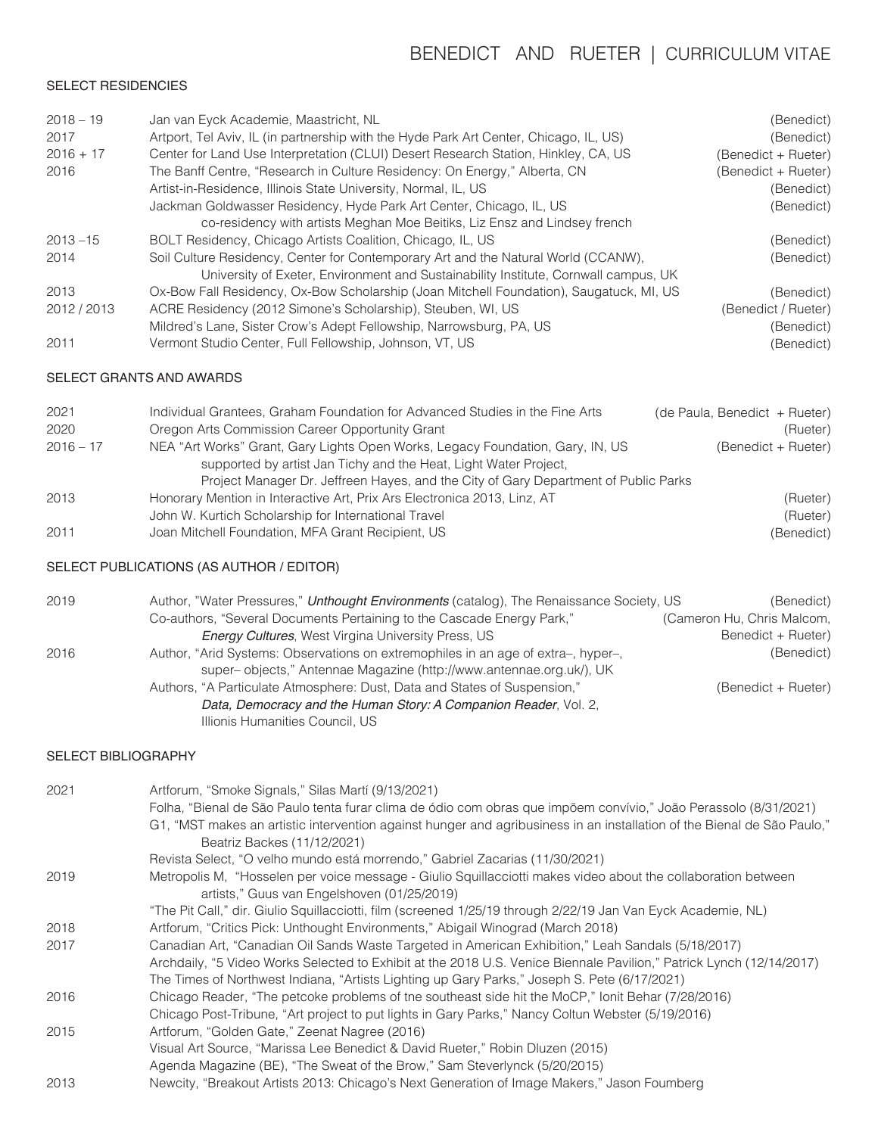# BENEDICT AND RUETER | CURRICULUM VITAE

## SELECT RESIDENCIES

| $2018 - 19$ | Jan van Eyck Academie, Maastricht, NL                                                   | (Benedict)          |
|-------------|-----------------------------------------------------------------------------------------|---------------------|
| 2017        | Artport, Tel Aviv, IL (in partnership with the Hyde Park Art Center, Chicago, IL, US)   | (Benedict)          |
| $2016 + 17$ | Center for Land Use Interpretation (CLUI) Desert Research Station, Hinkley, CA, US      | (Benedict + Rueter) |
| 2016        | The Banff Centre, "Research in Culture Residency: On Energy," Alberta, CN               | (Benedict + Rueter) |
|             | Artist-in-Residence, Illinois State University, Normal, IL, US                          | (Benedict)          |
|             | Jackman Goldwasser Residency, Hyde Park Art Center, Chicago, IL, US                     | (Benedict)          |
|             | co-residency with artists Meghan Moe Beitiks, Liz Ensz and Lindsey french               |                     |
| $2013 - 15$ | BOLT Residency, Chicago Artists Coalition, Chicago, IL, US                              | (Benedict)          |
| 2014        | Soil Culture Residency, Center for Contemporary Art and the Natural World (CCANW),      | (Benedict)          |
|             | University of Exeter, Environment and Sustainability Institute, Cornwall campus, UK     |                     |
| 2013        | Ox-Bow Fall Residency, Ox-Bow Scholarship (Joan Mitchell Foundation), Saugatuck, MI, US | (Benedict)          |
| 2012 / 2013 | ACRE Residency (2012 Simone's Scholarship), Steuben, WI, US                             | (Benedict / Rueter) |
|             | Mildred's Lane, Sister Crow's Adept Fellowship, Narrowsburg, PA, US                     | (Benedict)          |
| 2011        | Vermont Studio Center, Full Fellowship, Johnson, VT, US                                 | (Benedict)          |

#### SELECT GRANTS AND AWARDS

| 2021        | Individual Grantees, Graham Foundation for Advanced Studies in the Fine Arts        | (de Paula, Benedict + Rueter) |
|-------------|-------------------------------------------------------------------------------------|-------------------------------|
| 2020        | Oregon Arts Commission Career Opportunity Grant                                     | (Rueter)                      |
| $2016 - 17$ | NEA "Art Works" Grant, Gary Lights Open Works, Legacy Foundation, Gary, IN, US      | (Benedict + Rueter)           |
|             | supported by artist Jan Tichy and the Heat, Light Water Project,                    |                               |
|             | Project Manager Dr. Jeffreen Hayes, and the City of Gary Department of Public Parks |                               |
| 2013        | Honorary Mention in Interactive Art, Prix Ars Electronica 2013, Linz, AT            | (Rueter)                      |
|             | John W. Kurtich Scholarship for International Travel                                | (Rueter)                      |
| 2011        | Joan Mitchell Foundation, MFA Grant Recipient, US                                   | (Benedict)                    |
|             |                                                                                     |                               |

### SELECT PUBLICATIONS (AS AUTHOR / EDITOR)

| 2019 | Author, "Water Pressures," Unthought Environments (catalog), The Renaissance Society, US | (Benedict)                 |
|------|------------------------------------------------------------------------------------------|----------------------------|
|      | Co-authors, "Several Documents Pertaining to the Cascade Energy Park,"                   | (Cameron Hu, Chris Malcom, |
|      | <b>Energy Cultures, West Virgina University Press, US</b>                                | Benedict + Rueter)         |
| 2016 | Author, "Arid Systems: Observations on extremophiles in an age of extra-, hyper-,        | (Benedict)                 |
|      | super-objects," Antennae Magazine (http://www.antennae.org.uk/), UK                      |                            |
|      | Authors, "A Particulate Atmosphere: Dust, Data and States of Suspension,"                | (Benedict + Rueter)        |
|      | Data, Democracy and the Human Story: A Companion Reader, Vol. 2,                         |                            |
|      | Illionis Humanities Council, US                                                          |                            |

### SELECT BIBLIOGRAPHY

| 2021 | Artforum, "Smoke Signals," Silas Martí (9/13/2021)                                                                      |
|------|-------------------------------------------------------------------------------------------------------------------------|
|      | Folha, "Bienal de São Paulo tenta furar clima de ódio com obras que impõem convívio," João Perassolo (8/31/2021)        |
|      | G1, "MST makes an artistic intervention against hunger and agribusiness in an installation of the Bienal de São Paulo," |
|      | Beatriz Backes (11/12/2021)                                                                                             |
|      | Revista Select, "O velho mundo está morrendo," Gabriel Zacarias (11/30/2021)                                            |
| 2019 | Metropolis M, "Hosselen per voice message - Giulio Squillacciotti makes video about the collaboration between           |
|      | artists," Guus van Engelshoven (01/25/2019)                                                                             |
|      | "The Pit Call," dir. Giulio Squillacciotti, film (screened 1/25/19 through 2/22/19 Jan Van Eyck Academie, NL)           |
| 2018 | Artforum, "Critics Pick: Unthought Environments," Abigail Winograd (March 2018)                                         |
| 2017 | Canadian Art, "Canadian Oil Sands Waste Targeted in American Exhibition," Leah Sandals (5/18/2017)                      |
|      | Archdaily, "5 Video Works Selected to Exhibit at the 2018 U.S. Venice Biennale Pavilion," Patrick Lynch (12/14/2017)    |
|      | The Times of Northwest Indiana, "Artists Lighting up Gary Parks," Joseph S. Pete (6/17/2021)                            |
| 2016 | Chicago Reader, "The petcoke problems of the southeast side hit the MoCP," lonit Behar (7/28/2016)                      |
|      | Chicago Post-Tribune, "Art project to put lights in Gary Parks," Nancy Coltun Webster (5/19/2016)                       |
| 2015 | Artforum, "Golden Gate," Zeenat Nagree (2016)                                                                           |
|      | Visual Art Source, "Marissa Lee Benedict & David Rueter," Robin Dluzen (2015)                                           |
|      | Agenda Magazine (BE), "The Sweat of the Brow," Sam Steverlynck (5/20/2015)                                              |
| 2013 | Newcity, "Breakout Artists 2013: Chicago's Next Generation of Image Makers," Jason Foumberg                             |